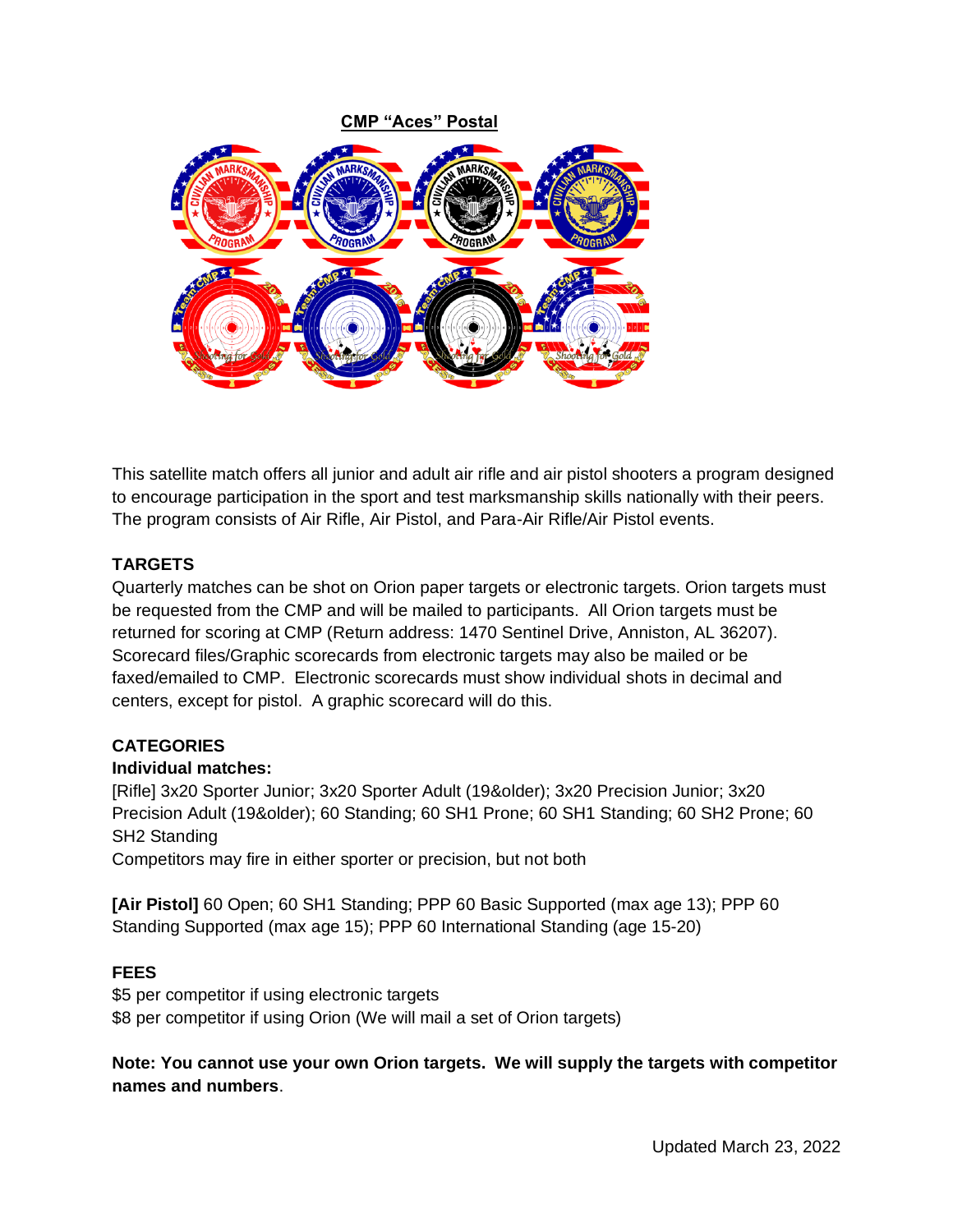

This satellite match offers all junior and adult air rifle and air pistol shooters a program designed to encourage participation in the sport and test marksmanship skills nationally with their peers. The program consists of Air Rifle, Air Pistol, and Para-Air Rifle/Air Pistol events.

# **TARGETS**

Quarterly matches can be shot on Orion paper targets or electronic targets. Orion targets must be requested from the CMP and will be mailed to participants. All Orion targets must be returned for scoring at CMP (Return address: 1470 Sentinel Drive, Anniston, AL 36207). Scorecard files/Graphic scorecards from electronic targets may also be mailed or be faxed/emailed to CMP. Electronic scorecards must show individual shots in decimal and centers, except for pistol. A graphic scorecard will do this.

## **CATEGORIES**

## **Individual matches:**

[Rifle] 3x20 Sporter Junior; 3x20 Sporter Adult (19&older); 3x20 Precision Junior; 3x20 Precision Adult (19&older); 60 Standing; 60 SH1 Prone; 60 SH1 Standing; 60 SH2 Prone; 60 SH2 Standing

Competitors may fire in either sporter or precision, but not both

**[Air Pistol]** 60 Open; 60 SH1 Standing; PPP 60 Basic Supported (max age 13); PPP 60 Standing Supported (max age 15); PPP 60 International Standing (age 15-20)

## **FEES**

\$5 per competitor if using electronic targets \$8 per competitor if using Orion (We will mail a set of Orion targets)

**Note: You cannot use your own Orion targets. We will supply the targets with competitor names and numbers**.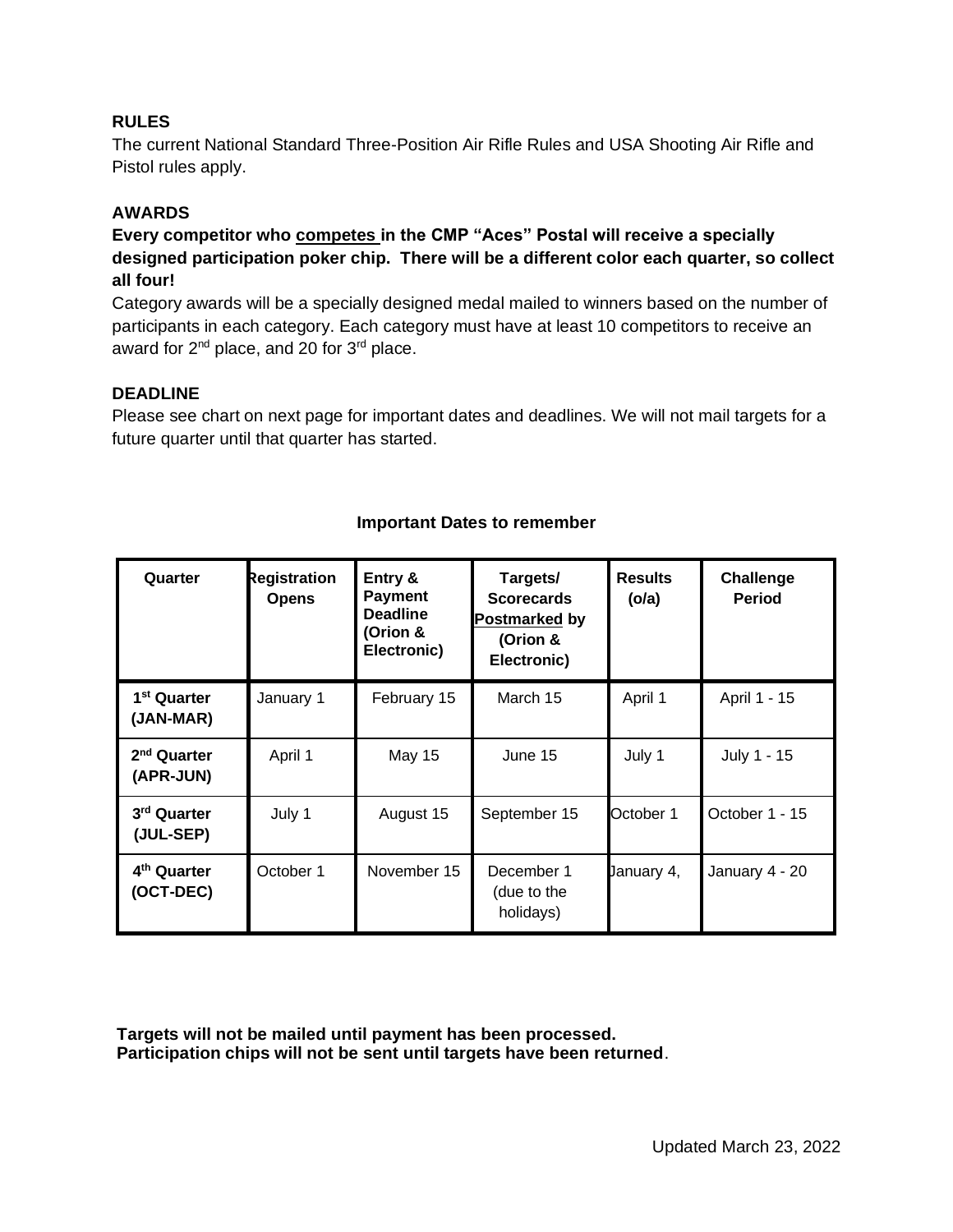### **RULES**

The current National Standard Three-Position Air Rifle Rules and USA Shooting Air Rifle and Pistol rules apply.

### **AWARDS**

**Every competitor who competes in the CMP "Aces" Postal will receive a specially designed participation poker chip. There will be a different color each quarter, so collect all four!**

Category awards will be a specially designed medal mailed to winners based on the number of participants in each category. Each category must have at least 10 competitors to receive an award for 2<sup>nd</sup> place, and 20 for 3<sup>rd</sup> place.

#### **DEADLINE**

Please see chart on next page for important dates and deadlines. We will not mail targets for a future quarter until that quarter has started.

| Quarter                              | Registration<br><b>Opens</b> | Entry &<br><b>Payment</b><br><b>Deadline</b><br>(Orion &<br>Electronic) | Targets/<br><b>Scorecards</b><br>Postmarked by<br>(Orion &<br>Electronic) | <b>Results</b><br>(ola) | Challenge<br><b>Period</b> |
|--------------------------------------|------------------------------|-------------------------------------------------------------------------|---------------------------------------------------------------------------|-------------------------|----------------------------|
| 1 <sup>st</sup> Quarter<br>(JAN-MAR) | January 1                    | February 15                                                             | March 15                                                                  | April 1                 | April 1 - 15               |
| 2 <sup>nd</sup> Quarter<br>(APR-JUN) | April 1                      | <b>May 15</b>                                                           | June 15                                                                   | July 1                  | July 1 - 15                |
| 3 <sup>rd</sup> Quarter<br>(JUL-SEP) | July 1                       | August 15                                                               | September 15                                                              | October 1               | October 1 - 15             |
| 4 <sup>th</sup> Quarter<br>(OCT-DEC) | October 1                    | November 15                                                             | December 1<br>(due to the<br>holidays)                                    | January 4,              | January 4 - 20             |

#### **Important Dates to remember**

**Targets will not be mailed until payment has been processed. Participation chips will not be sent until targets have been returned**.